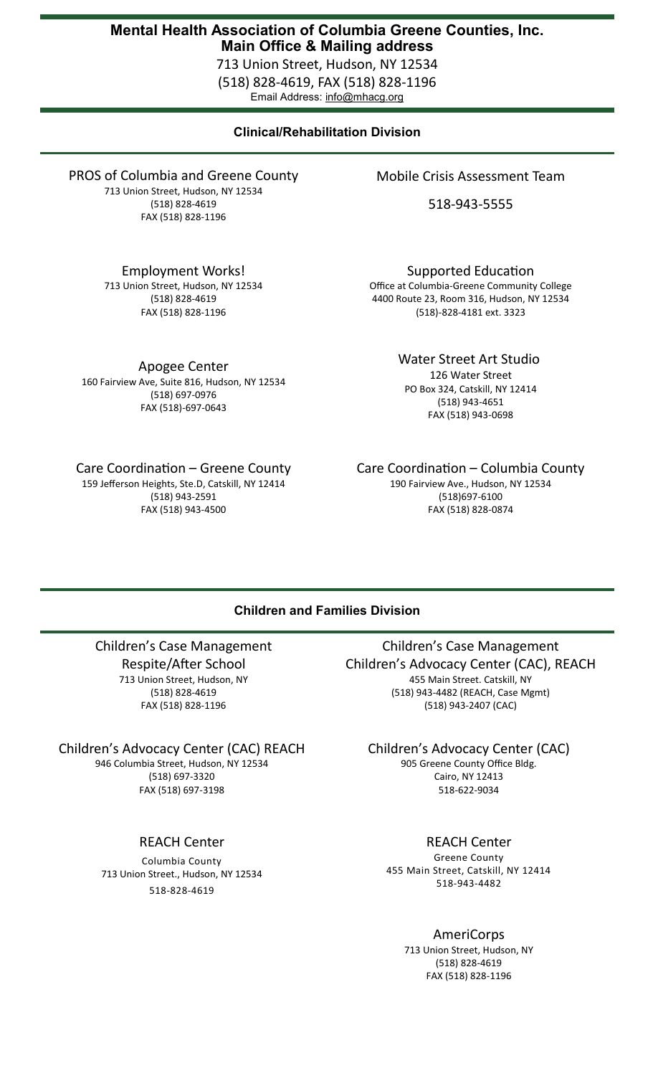# **Mental Health Association of Columbia Greene Counties, Inc. Main Office & Mailing address**

713 Union Street, Hudson, NY 12534 (518) 828-4619, FAX (518) 828-1196 Email Address: info@mhacg.org

# **Clinical/Rehabilitation Division**

PROS of Columbia and Greene County 713 Union Street, Hudson, NY 12534 (518) 828-4619 FAX (518) 828-1196

Employment Works!

713 Union Street, Hudson, NY 12534 (518) 828-4619 FAX (518) 828-1196

Apogee Center 160 Fairview Ave, Suite 816, Hudson, NY 12534

(518) 697-0976 FAX (518)-697-0643

Care Coordination – Greene County

159 Jefferson Heights, Ste.D, Catskill, NY 12414 (518) 943-2591 FAX (518) 943-4500

Mobile Crisis Assessment Team

518-943-5555

Supported Education Office at Columbia-Greene Community College 4400 Route 23, Room 316, Hudson, NY 12534

(518)-828-4181 ext. 3323

Water Street Art Studio 126 Water Street PO Box 324, Catskill, NY 12414 (518) 943-4651 FAX (518) 943-0698

Care Coordination – Columbia County 190 Fairview Ave., Hudson, NY 12534 (518)697-6100 FAX (518) 828-0874

## **Children and Families Division**

Children's Case Management Respite/After School 713 Union Street, Hudson, NY (518) 828-4619

FAX (518) 828-1196

Children's Advocacy Center (CAC) REACH

946 Columbia Street, Hudson, NY 12534 (518) 697-3320 FAX (518) 697-3198

REACH Center

Columbia County 713 Union Street., Hudson, NY 12534 518-828-4619

Children's Case Management Children's Advocacy Center (CAC), REACH 455 Main Street. Catskill, NY (518) 943-4482 (REACH, Case Mgmt) (518) 943-2407 (CAC)

Children's Advocacy Center (CAC)

905 Greene County Office Bldg. Cairo, NY 12413 518-622-9034

REACH Center

Greene County 455 Main Street, Catskill, NY 12414 518-943-4482

> AmeriCorps 713 Union Street, Hudson, NY

(518) 828-4619 FAX (518) 828-1196